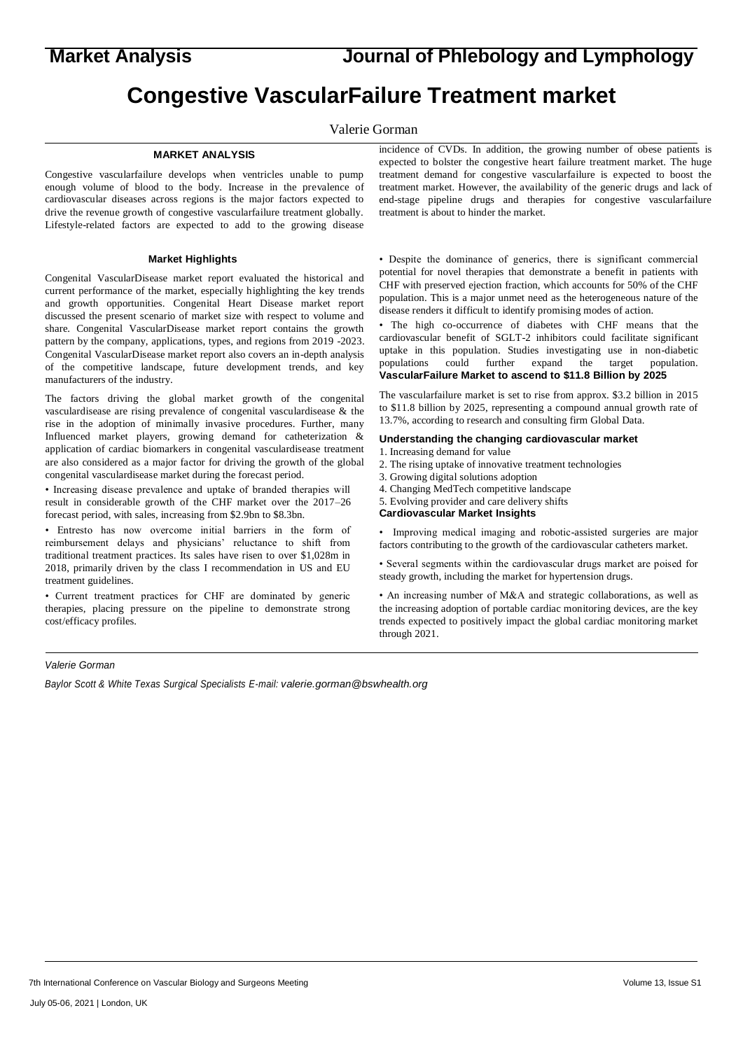**Market Analysis Journal of Phlebology and Lymphology**

# **Congestive VascularFailure Treatment market**

Valerie Gorman

### **MARKET ANALYSIS**

Congestive vascularfailure develops when ventricles unable to pump enough volume of blood to the body. Increase in the prevalence of cardiovascular diseases across regions is the major factors expected to drive the revenue growth of congestive vascularfailure treatment globally. Lifestyle-related factors are expected to add to the growing disease

#### **Market Highlights**

Congenital VascularDisease market report evaluated the historical and current performance of the market, especially highlighting the key trends and growth opportunities. Congenital Heart Disease market report discussed the present scenario of market size with respect to volume and share. Congenital VascularDisease market report contains the growth pattern by the company, applications, types, and regions from 2019 -2023. Congenital VascularDisease market report also covers an in-depth analysis of the competitive landscape, future development trends, and key manufacturers of the industry.

The factors driving the global market growth of the congenital vasculardisease are rising prevalence of congenital vasculardisease & the rise in the adoption of minimally invasive procedures. Further, many Influenced market players, growing demand for catheterization & application of cardiac biomarkers in congenital vasculardisease treatment are also considered as a major factor for driving the growth of the global congenital vasculardisease market during the forecast period.

• Increasing disease prevalence and uptake of branded therapies will result in considerable growth of the CHF market over the 2017–26 forecast period, with sales, increasing from \$2.9bn to \$8.3bn.

• Entresto has now overcome initial barriers in the form of reimbursement delays and physicians' reluctance to shift from traditional treatment practices. Its sales have risen to over \$1,028m in 2018, primarily driven by the class I recommendation in US and EU treatment guidelines.

• Current treatment practices for CHF are dominated by generic therapies, placing pressure on the pipeline to demonstrate strong cost/efficacy profiles.

incidence of CVDs. In addition, the growing number of obese patients is expected to bolster the congestive heart failure treatment market. The huge treatment demand for congestive vascularfailure is expected to boost the treatment market. However, the availability of the generic drugs and lack of end-stage pipeline drugs and therapies for congestive vascularfailure treatment is about to hinder the market.

• Despite the dominance of generics, there is significant commercial potential for novel therapies that demonstrate a benefit in patients with CHF with preserved ejection fraction, which accounts for 50% of the CHF population. This is a major unmet need as the heterogeneous nature of the disease renders it difficult to identify promising modes of action.

• The high co-occurrence of diabetes with CHF means that the cardiovascular benefit of SGLT-2 inhibitors could facilitate significant uptake in this population. Studies investigating use in non-diabetic populations could further expand the target population. **VascularFailure Market to ascend to \$11.8 Billion by 2025**

The vascularfailure market is set to rise from approx. \$3.2 billion in 2015 to \$11.8 billion by 2025, representing a compound annual growth rate of 13.7%, according to research and consulting firm Global Data.

### **Understanding the changing cardiovascular market**

- 1. Increasing demand for value
- 2. The rising uptake of innovative treatment technologies
- 3. Growing digital solutions adoption
- 4. Changing MedTech competitive landscape
- 5. Evolving provider and care delivery shifts
- **Cardiovascular Market Insights**

• Improving medical imaging and robotic-assisted surgeries are major factors contributing to the growth of the cardiovascular catheters market.

• Several segments within the cardiovascular drugs market are poised for steady growth, including the market for hypertension drugs.

• An increasing number of M&A and strategic collaborations, as well as the increasing adoption of portable cardiac monitoring devices, are the key trends expected to positively impact the global cardiac monitoring market through 2021.

#### *Valerie Gorman*

*Baylor Scott & White Texas Surgical Specialists E-mail: valerie.gorman@bswhealth.org*